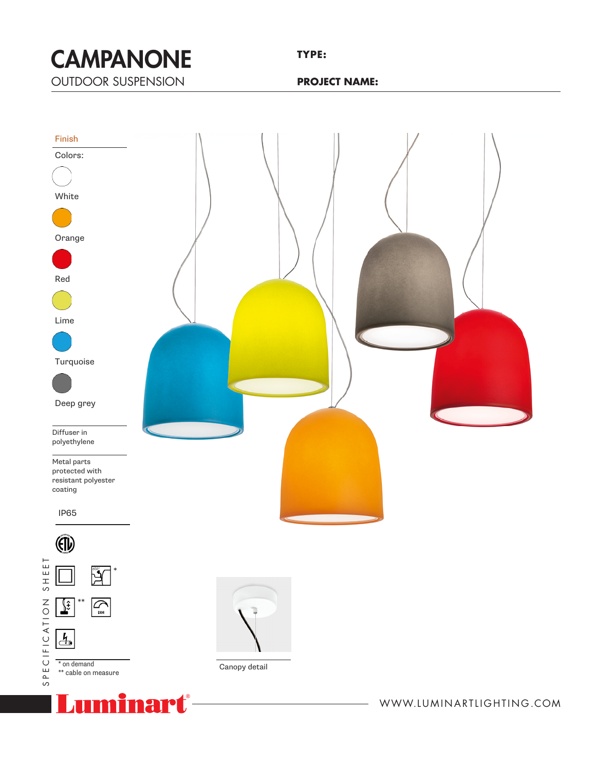CAMPANONE OUTDOOR SUSPENSION<br>————————————————————  $\blacksquare$ TVI **CAMADANIA** 

**TYPE:**

**PROJECT NAME:**